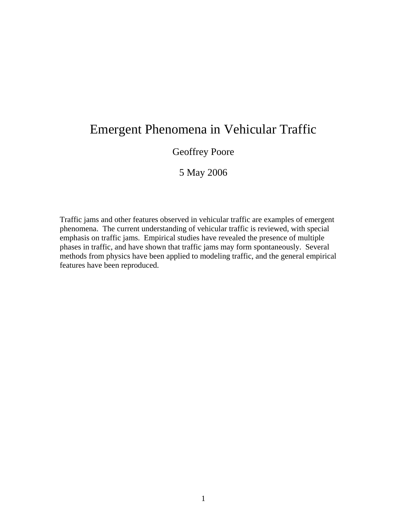# Emergent Phenomena in Vehicular Traffic

## Geoffrey Poore

## 5 May 2006

Traffic jams and other features observed in vehicular traffic are examples of emergent phenomena. The current understanding of vehicular traffic is reviewed, with special emphasis on traffic jams. Empirical studies have revealed the presence of multiple phases in traffic, and have shown that traffic jams may form spontaneously. Several methods from physics have been applied to modeling traffic, and the general empirical features have been reproduced.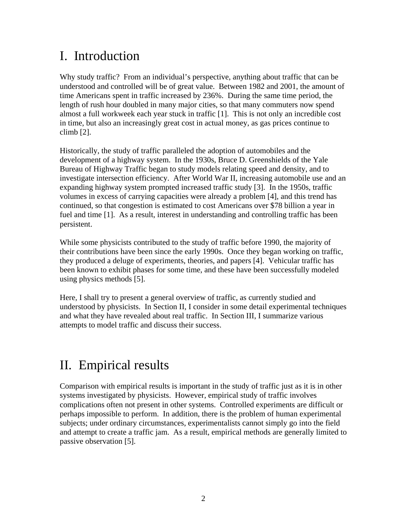# I. Introduction

Why study traffic? From an individual's perspective, anything about traffic that can be understood and controlled will be of great value. Between 1982 and 2001, the amount of time Americans spent in traffic increased by 236%. During the same time period, the length of rush hour doubled in many major cities, so that many commuters now spend almost a full workweek each year stuck in traffic [1]. This is not only an incredible cost in time, but also an increasingly great cost in actual money, as gas prices continue to climb [2].

Historically, the study of traffic paralleled the adoption of automobiles and the development of a highway system. In the 1930s, Bruce D. Greenshields of the Yale Bureau of Highway Traffic began to study models relating speed and density, and to investigate intersection efficiency. After World War II, increasing automobile use and an expanding highway system prompted increased traffic study [3]. In the 1950s, traffic volumes in excess of carrying capacities were already a problem [4], and this trend has continued, so that congestion is estimated to cost Americans over \$78 billion a year in fuel and time [1]. As a result, interest in understanding and controlling traffic has been persistent.

While some physicists contributed to the study of traffic before 1990, the majority of their contributions have been since the early 1990s. Once they began working on traffic, they produced a deluge of experiments, theories, and papers [4]. Vehicular traffic has been known to exhibit phases for some time, and these have been successfully modeled using physics methods [5].

Here, I shall try to present a general overview of traffic, as currently studied and understood by physicists. In Section II, I consider in some detail experimental techniques and what they have revealed about real traffic. In Section III, I summarize various attempts to model traffic and discuss their success.

# II. Empirical results

Comparison with empirical results is important in the study of traffic just as it is in other systems investigated by physicists. However, empirical study of traffic involves complications often not present in other systems. Controlled experiments are difficult or perhaps impossible to perform. In addition, there is the problem of human experimental subjects; under ordinary circumstances, experimentalists cannot simply go into the field and attempt to create a traffic jam. As a result, empirical methods are generally limited to passive observation [5].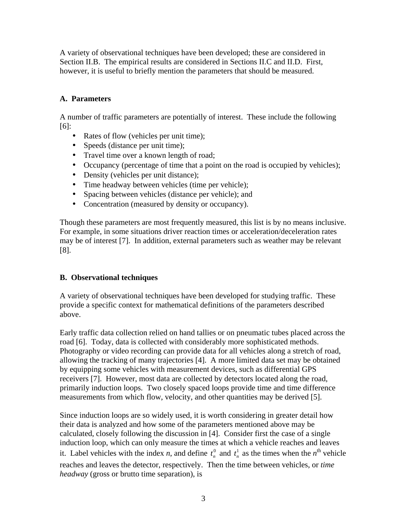A variety of observational techniques have been developed; these are considered in Section II.B. The empirical results are considered in Sections II.C and II.D. First, however, it is useful to briefly mention the parameters that should be measured.

## **A. Parameters**

A number of traffic parameters are potentially of interest. These include the following [6]:

- Rates of flow (vehicles per unit time);
- Speeds (distance per unit time);
- Travel time over a known length of road;
- Occupancy (percentage of time that a point on the road is occupied by vehicles);
- Density (vehicles per unit distance);
- Time headway between vehicles (time per vehicle);
- Spacing between vehicles (distance per vehicle); and
- Concentration (measured by density or occupancy).

Though these parameters are most frequently measured, this list is by no means inclusive. For example, in some situations driver reaction times or acceleration/deceleration rates may be of interest [7]. In addition, external parameters such as weather may be relevant [8].

### **B. Observational techniques**

A variety of observational techniques have been developed for studying traffic. These provide a specific context for mathematical definitions of the parameters described above.

Early traffic data collection relied on hand tallies or on pneumatic tubes placed across the road [6]. Today, data is collected with considerably more sophisticated methods. Photography or video recording can provide data for all vehicles along a stretch of road, allowing the tracking of many trajectories [4]. A more limited data set may be obtained by equipping some vehicles with measurement devices, such as differential GPS receivers [7]. However, most data are collected by detectors located along the road, primarily induction loops. Two closely spaced loops provide time and time difference measurements from which flow, velocity, and other quantities may be derived [5].

Since induction loops are so widely used, it is worth considering in greater detail how their data is analyzed and how some of the parameters mentioned above may be calculated, closely following the discussion in [4]. Consider first the case of a single induction loop, which can only measure the times at which a vehicle reaches and leaves it. Label vehicles with the index *n*, and define  $t_n^0$  and  $t_n^1$  as the times when the  $n^{\text{th}}$  vehicle reaches and leaves the detector, respectively. Then the time between vehicles, or *time headway* (gross or brutto time separation), is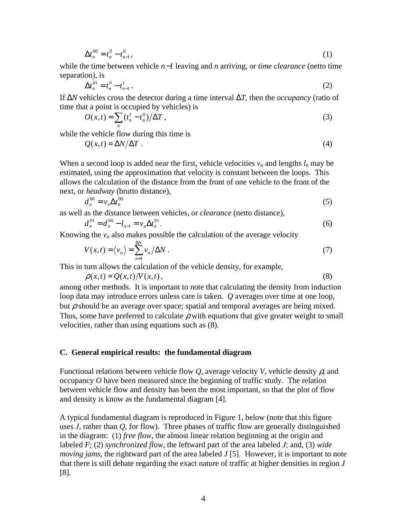$$
\Delta t_n^{00} = t_n^0 - t_{n-1}^0, \tag{1}
$$

while the time between vehicle *n*−*1* leaving and *n* arriving, or *time clearance* (netto time separation), is

$$
\Delta t_n^{01} = t_n^0 - t_{n-1}^1 \,. \tag{2}
$$

If ∆*N* vehicles cross the detector during a time interval ∆*T*, then the *occupancy* (ratio of time that a point is occupied by vehicles) is

$$
O(x,t) = \sum_{n} (t_n^1 - t_n^0) / \Delta T,
$$
\n(3)

while the vehicle flow during this time is

$$
Q(x,t) = \Delta N / \Delta T \tag{4}
$$

When a second loop is added near the first, vehicle velocities  $v_n$  and lengths  $l_n$  may be estimated, using the approximation that velocity is constant between the loops. This allows the calculation of the distance from the front of one vehicle to the front of the next, or *headway* (brutto distance),

$$
d_n^{00} = v_n \Delta t_n^{00} \tag{5}
$$

as well as the distance between vehicles, or *clearance* (netto distance),

$$
d_n^{01} = d_n^{00} - l_{n-1} = v_n \Delta t_n^{01}.
$$
 (6)

Knowing the  $v_n$  also makes possible the calculation of the average velocity

$$
V(x,t) = \langle v_n \rangle = \sum_{n=1}^{\Delta N} v_n / \Delta N \,. \tag{7}
$$

This in turn allows the calculation of the vehicle density, for example,

$$
\rho(x,t) = Q(x,t)/V(x,t),\tag{8}
$$

among other methods. It is important to note that calculating the density from induction loop data may introduce errors unless care is taken. *Q* averages over time at one loop, but  $\rho$  should be an average over space; spatial and temporal averages are being mixed. Thus, some have preferred to calculate  $\rho$  with equations that give greater weight to small velocities, rather than using equations such as (8).

#### **C. General empirical results: the fundamental diagram**

Functional relations between vehicle flow *Q*, average velocity *V*, vehicle density ρ, and occupancy *O* have been measured since the beginning of traffic study. The relation between vehicle flow and density has been the most important, so that the plot of flow and density is know as the fundamental diagram [4].

A typical fundamental diagram is reproduced in Figure 1, below (note that this figure uses *J*, rather than *Q*, for flow). Three phases of traffic flow are generally distinguished in the diagram: (1) *free flow*, the almost linear relation beginning at the origin and labeled *F*; (2) *synchronized flow*, the leftward part of the area labeled *J*; and, (3) *wide moving jams*, the rightward part of the area labeled *J* [5]. However, it is important to note that there is still debate regarding the exact nature of traffic at higher densities in region *J* [8].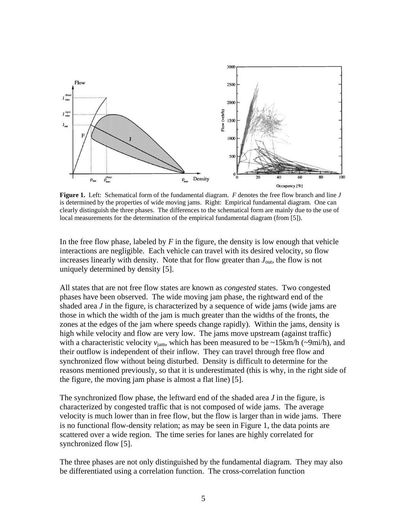

**Figure 1.** Left: Schematical form of the fundamental diagram. *F* denotes the free flow branch and line *J* is determined by the properties of wide moving jams. Right: Empirical fundamental diagram. One can clearly distinguish the three phases. The differences to the schematical form are mainly due to the use of local measurements for the determination of the empirical fundamental diagram (from [5]).

In the free flow phase, labeled by *F* in the figure, the density is low enough that vehicle interactions are negligible. Each vehicle can travel with its desired velocity, so flow increases linearly with density. Note that for flow greater than *J*out, the flow is not uniquely determined by density [5].

All states that are not free flow states are known as *congested* states. Two congested phases have been observed. The wide moving jam phase, the rightward end of the shaded area *J* in the figure, is characterized by a sequence of wide jams (wide jams are those in which the width of the jam is much greater than the widths of the fronts, the zones at the edges of the jam where speeds change rapidly). Within the jams, density is high while velocity and flow are very low. The jams move upstream (against traffic) with a characteristic velocity  $v_{\text{jam}}$ , which has been measured to be ~15km/h (~9mi/h), and their outflow is independent of their inflow. They can travel through free flow and synchronized flow without being disturbed. Density is difficult to determine for the reasons mentioned previously, so that it is underestimated (this is why, in the right side of the figure, the moving jam phase is almost a flat line) [5].

The synchronized flow phase, the leftward end of the shaded area *J* in the figure, is characterized by congested traffic that is not composed of wide jams. The average velocity is much lower than in free flow, but the flow is larger than in wide jams. There is no functional flow-density relation; as may be seen in Figure 1, the data points are scattered over a wide region. The time series for lanes are highly correlated for synchronized flow [5].

The three phases are not only distinguished by the fundamental diagram. They may also be differentiated using a correlation function. The cross-correlation function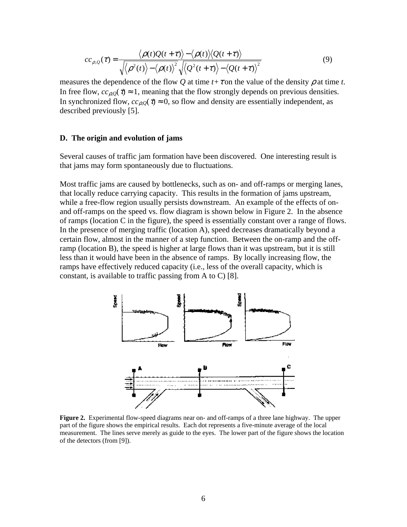$$
cc_{\rho,Q}(\tau) = \frac{\langle \rho(t)Q(t+\tau) \rangle - \langle \rho(t) \rangle \langle Q(t+\tau) \rangle}{\sqrt{\langle \rho^2(t) \rangle - \langle \rho(t) \rangle^2} \sqrt{\langle Q^2(t+\tau) \rangle - \langle Q(t+\tau) \rangle^2}}
$$
(9)

measures the dependence of the flow *Q* at time  $t+\tau$  on the value of the density  $\rho$  at time *t*. In free flow,  $cc_{\rho,0}(\tau) \approx 1$ , meaning that the flow strongly depends on previous densities. In synchronized flow,  $cc_{\rho,Q}(\tau) \approx 0$ , so flow and density are essentially independent, as described previously [5].

#### **D. The origin and evolution of jams**

Several causes of traffic jam formation have been discovered. One interesting result is that jams may form spontaneously due to fluctuations.

Most traffic jams are caused by bottlenecks, such as on- and off-ramps or merging lanes, that locally reduce carrying capacity. This results in the formation of jams upstream, while a free-flow region usually persists downstream. An example of the effects of onand off-ramps on the speed vs. flow diagram is shown below in Figure 2. In the absence of ramps (location C in the figure), the speed is essentially constant over a range of flows. In the presence of merging traffic (location A), speed decreases dramatically beyond a certain flow, almost in the manner of a step function. Between the on-ramp and the offramp (location B), the speed is higher at large flows than it was upstream, but it is still less than it would have been in the absence of ramps. By locally increasing flow, the ramps have effectively reduced capacity (i.e., less of the overall capacity, which is constant, is available to traffic passing from A to C) [8].



**Figure 2.** Experimental flow-speed diagrams near on- and off-ramps of a three lane highway. The upper part of the figure shows the empirical results. Each dot represents a five-minute average of the local measurement. The lines serve merely as guide to the eyes. The lower part of the figure shows the location of the detectors (from [9]).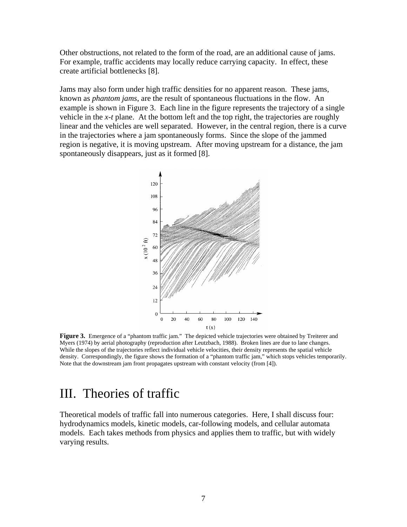Other obstructions, not related to the form of the road, are an additional cause of jams. For example, traffic accidents may locally reduce carrying capacity. In effect, these create artificial bottlenecks [8].

Jams may also form under high traffic densities for no apparent reason. These jams, known as *phantom jams*, are the result of spontaneous fluctuations in the flow. An example is shown in Figure 3. Each line in the figure represents the trajectory of a single vehicle in the *x*-*t* plane. At the bottom left and the top right, the trajectories are roughly linear and the vehicles are well separated. However, in the central region, there is a curve in the trajectories where a jam spontaneously forms. Since the slope of the jammed region is negative, it is moving upstream. After moving upstream for a distance, the jam spontaneously disappears, just as it formed [8].



Figure 3. Emergence of a "phantom traffic jam." The depicted vehicle trajectories were obtained by Treiterer and Myers (1974) by aerial photography (reproduction after Leutzbach, 1988). Broken lines are due to lane changes. While the slopes of the trajectories reflect individual vehicle velocities, their density represents the spatial vehicle density. Correspondingly, the figure shows the formation of a "phantom traffic jam," which stops vehicles temporarily. Note that the downstream jam front propagates upstream with constant velocity (from [4]).

## III. Theories of traffic

Theoretical models of traffic fall into numerous categories. Here, I shall discuss four: hydrodynamics models, kinetic models, car-following models, and cellular automata models. Each takes methods from physics and applies them to traffic, but with widely varying results.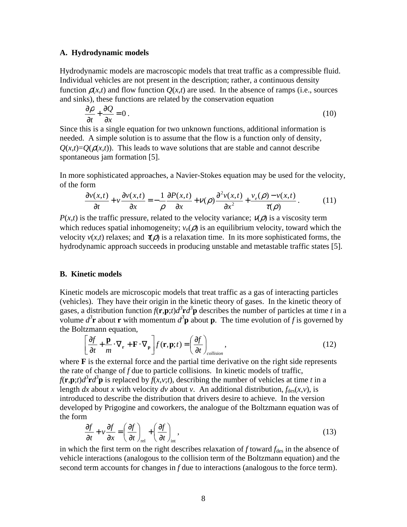#### **A. Hydrodynamic models**

Hydrodynamic models are macroscopic models that treat traffic as a compressible fluid. Individual vehicles are not present in the description; rather, a continuous density function  $\rho(x,t)$  and flow function  $Q(x,t)$  are used. In the absence of ramps (i.e., sources and sinks), these functions are related by the conservation equation

$$
\frac{\partial \rho}{\partial t} + \frac{\partial Q}{\partial x} = 0.
$$
 (10)

Since this is a single equation for two unknown functions, additional information is needed. A simple solution is to assume that the flow is a function only of density,  $Q(x,t)=Q(\rho(x,t))$ . This leads to wave solutions that are stable and cannot describe spontaneous jam formation [5].

In more sophisticated approaches, a Navier-Stokes equation may be used for the velocity, of the form

$$
\frac{\partial v(x,t)}{\partial t} + v \frac{\partial v(x,t)}{\partial x} = -\frac{1}{\rho} \frac{\partial P(x,t)}{\partial x} + v(\rho) \frac{\partial^2 v(x,t)}{\partial x^2} + \frac{v_e(\rho) - v(x,t)}{\tau(\rho)}.
$$
(11)

 $P(x,t)$  is the traffic pressure, related to the velocity variance;  $v(\rho)$  is a viscosity term which reduces spatial inhomogeneity;  $v_e(\rho)$  is an equilibrium velocity, toward which the velocity  $v(x,t)$  relaxes; and  $\tau(\rho)$  is a relaxation time. In its more sophisticated forms, the hydrodynamic approach succeeds in producing unstable and metastable traffic states [5].

#### **B. Kinetic models**

Kinetic models are microscopic models that treat traffic as a gas of interacting particles (vehicles). They have their origin in the kinetic theory of gases. In the kinetic theory of gases, a distribution function  $f(\mathbf{r}, \mathbf{p}; t) d^3 \mathbf{r} d^3 \mathbf{p}$  describes the number of particles at time *t* in a volume  $d^3$ **r** about **r** with momentum  $d^3$ **p** about **p**. The time evolution of f is governed by the Boltzmann equation,

$$
\left[\frac{\partial f}{\partial t} + \frac{\mathbf{p}}{m} \cdot \nabla_{\mathbf{r}} + \mathbf{F} \cdot \nabla_{\mathbf{p}}\right] f(\mathbf{r}, \mathbf{p}; t) = \left(\frac{\partial f}{\partial t}\right)_{collision},
$$
\n(12)

where **F** is the external force and the partial time derivative on the right side represents the rate of change of *f* due to particle collisions. In kinetic models of traffic,  $f(\mathbf{r}, \mathbf{p}; t) d^3 \mathbf{r} d^3 \mathbf{p}$  is replaced by  $f(x, y; t)$ , describing the number of vehicles at time *t* in a length *dx* about *x* with velocity *dv* about *v*. An additional distribution,  $f_{des}(x, v)$ , is introduced to describe the distribution that drivers desire to achieve. In the version developed by Prigogine and coworkers, the analogue of the Boltzmann equation was of the form

$$
\frac{\partial f}{\partial t} + v \frac{\partial f}{\partial x} = \left(\frac{\partial f}{\partial t}\right)_{\text{rel}} + \left(\frac{\partial f}{\partial t}\right)_{\text{int}},
$$
\n(13)

in which the first term on the right describes relaxation of  $f$  toward  $f_{\text{des}}$  in the absence of vehicle interactions (analogous to the collision term of the Boltzmann equation) and the second term accounts for changes in *f* due to interactions (analogous to the force term).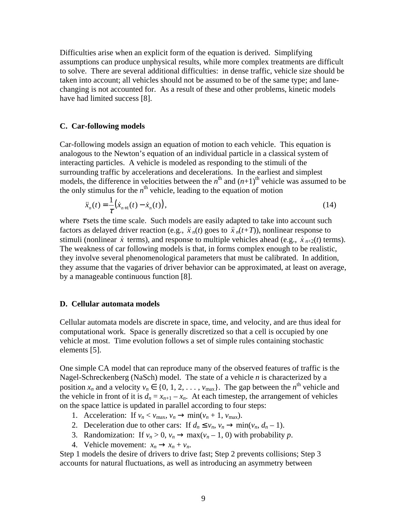Difficulties arise when an explicit form of the equation is derived. Simplifying assumptions can produce unphysical results, while more complex treatments are difficult to solve. There are several additional difficulties: in dense traffic, vehicle size should be taken into account; all vehicles should not be assumed to be of the same type; and lanechanging is not accounted for. As a result of these and other problems, kinetic models have had limited success [8].

#### **C. Car-following models**

Car-following models assign an equation of motion to each vehicle. This equation is analogous to the Newton's equation of an individual particle in a classical system of interacting particles. A vehicle is modeled as responding to the stimuli of the surrounding traffic by accelerations and decelerations. In the earliest and simplest models, the difference in velocities between the  $n^{\text{th}}$  and  $(n+1)^{\text{th}}$  vehicle was assumed to be the only stimulus for the  $n<sup>th</sup>$  vehicle, leading to the equation of motion

$$
\ddot{x}_n(t) = \frac{1}{\tau} (\dot{x}_{n+1}(t) - \dot{x}_n(t)),
$$
\n(14)

where  $\tau$  sets the time scale. Such models are easily adapted to take into account such factors as delayed driver reaction (e.g.,  $\ddot{x}_n(t)$  goes to  $\ddot{x}_n(t+T)$ ), nonlinear response to stimuli (nonlinear  $\dot{x}$  terms), and response to multiple vehicles ahead (e.g.,  $\dot{x}_{n+2}(t)$  terms). The weakness of car following models is that, in forms complex enough to be realistic, they involve several phenomenological parameters that must be calibrated. In addition, they assume that the vagaries of driver behavior can be approximated, at least on average, by a manageable continuous function [8].

#### **D. Cellular automata models**

Cellular automata models are discrete in space, time, and velocity, and are thus ideal for computational work. Space is generally discretized so that a cell is occupied by one vehicle at most. Time evolution follows a set of simple rules containing stochastic elements [5].

One simple CA model that can reproduce many of the observed features of traffic is the Nagel-Schreckenberg (NaSch) model. The state of a vehicle *n* is characterized by a position  $x_n$  and a velocity  $v_n \in \{0, 1, 2, \ldots, v_{\text{max}}\}$ . The gap between the  $n^{\text{th}}$  vehicle and the vehicle in front of it is  $d_n = x_{n+1} - x_n$ . At each timestep, the arrangement of vehicles on the space lattice is updated in parallel according to four steps:

- 1. Acceleration: If  $v_n < v_{\text{max}}$ ,  $v_n \rightarrow \min(v_n + 1, v_{\text{max}})$ .
- 2. Deceleration due to other cars: If  $d_n \le v_n$ ,  $v_n \to \min(v_n, d_n 1)$ .
- 3. Randomization: If  $v_n > 0$ ,  $v_n \to \max(v_n 1, 0)$  with probability p.
- 4. Vehicle movement:  $x_n \rightarrow x_n + v_n$ .

Step 1 models the desire of drivers to drive fast; Step 2 prevents collisions; Step 3 accounts for natural fluctuations, as well as introducing an asymmetry between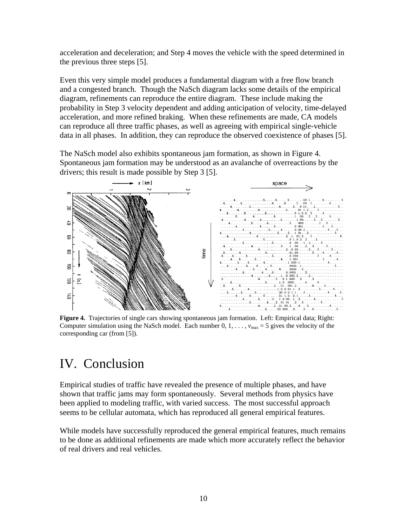acceleration and deceleration; and Step 4 moves the vehicle with the speed determined in the previous three steps [5].

Even this very simple model produces a fundamental diagram with a free flow branch and a congested branch. Though the NaSch diagram lacks some details of the empirical diagram, refinements can reproduce the entire diagram. These include making the probability in Step 3 velocity dependent and adding anticipation of velocity, time-delayed acceleration, and more refined braking. When these refinements are made, CA models can reproduce all three traffic phases, as well as agreeing with empirical single-vehicle data in all phases. In addition, they can reproduce the observed coexistence of phases [5].

The NaSch model also exhibits spontaneous jam formation, as shown in Figure 4. Spontaneous jam formation may be understood as an avalanche of overreactions by the drivers; this result is made possible by Step 3 [5].



**Figure 4.** Trajectories of single cars showing spontaneous jam formation. Left: Empirical data; Right: Computer simulation using the NaSch model. Each number  $0, 1, \ldots, v_{\text{max}} = 5$  gives the velocity of the corresponding car (from [5]).

# IV. Conclusion

Empirical studies of traffic have revealed the presence of multiple phases, and have shown that traffic jams may form spontaneously. Several methods from physics have been applied to modeling traffic, with varied success. The most successful approach seems to be cellular automata, which has reproduced all general empirical features.

While models have successfully reproduced the general empirical features, much remains to be done as additional refinements are made which more accurately reflect the behavior of real drivers and real vehicles.